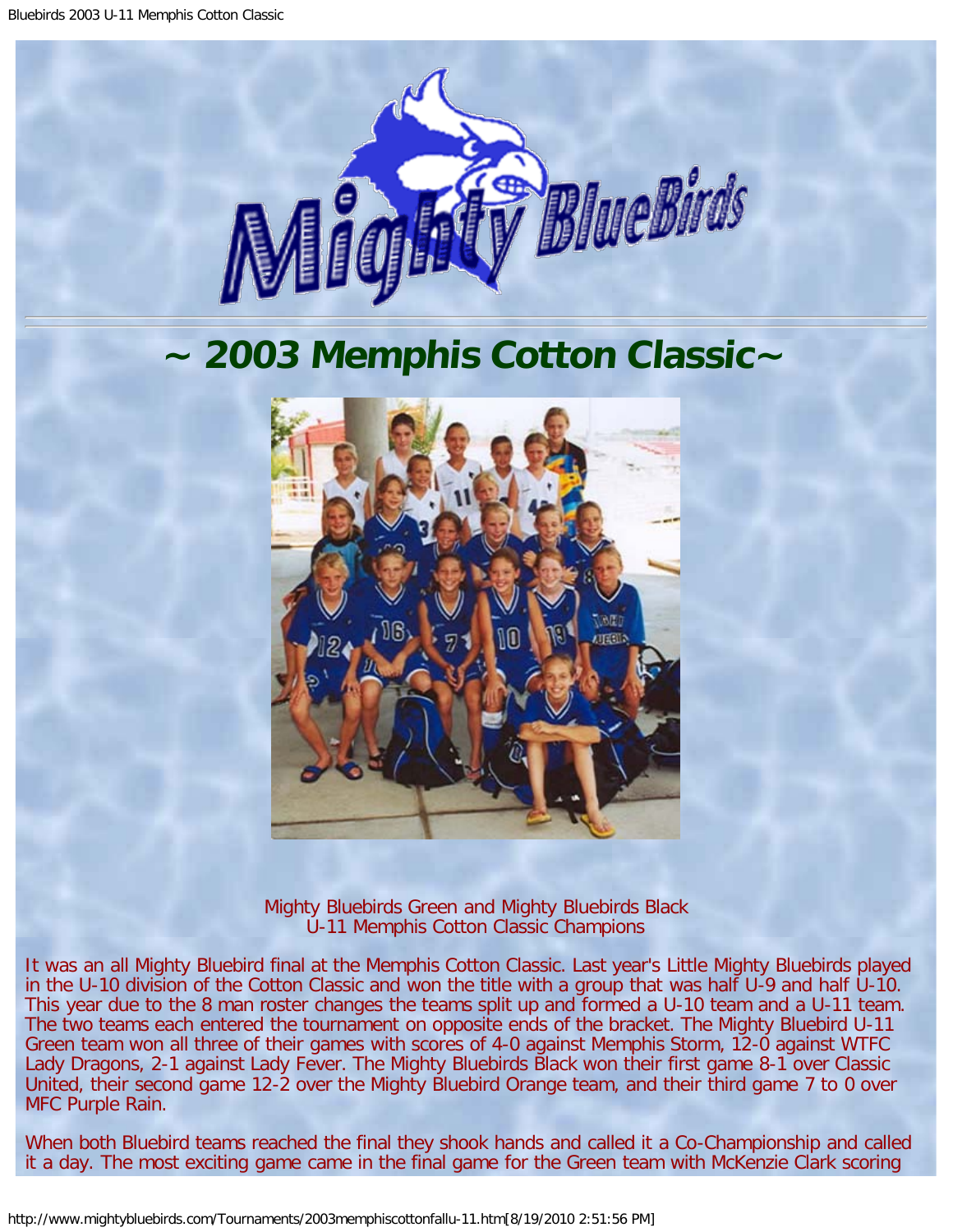

## **~ 2003 Memphis Cotton Classic~**



Mighty Bluebirds Green and Mighty Bluebirds Black U-11 Memphis Cotton Classic Champions

It was an all Mighty Bluebird final at the Memphis Cotton Classic. Last year's Little Mighty Bluebirds played in the U-10 division of the Cotton Classic and won the title with a group that was half U-9 and half U-10. This year due to the 8 man roster changes the teams split up and formed a U-10 team and a U-11 team. The two teams each entered the tournament on opposite ends of the bracket. The Mighty Bluebird U-11 Green team won all three of their games with scores of 4-0 against Memphis Storm, 12-0 against WTFC Lady Dragons, 2-1 against Lady Fever. The Mighty Bluebirds Black won their first game 8-1 over Classic United, their second game 12-2 over the Mighty Bluebird Orange team, and their third game 7 to 0 over MFC Purple Rain.

When both Bluebird teams reached the final they shook hands and called it a Co-Championship and called it a day. The most exciting game came in the final game for the Green team with McKenzie Clark scoring